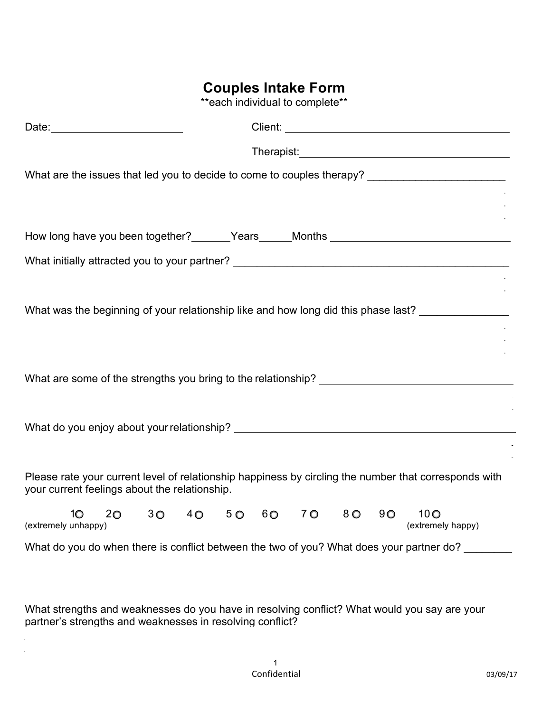## **Couples Intake Form**

\*\*each individual to complete\*\*

| Date: 2004                                                                                                                                             |  |  |  |  |
|--------------------------------------------------------------------------------------------------------------------------------------------------------|--|--|--|--|
|                                                                                                                                                        |  |  |  |  |
| What are the issues that led you to decide to come to couples therapy? _____________________________                                                   |  |  |  |  |
|                                                                                                                                                        |  |  |  |  |
| How long have you been together? _______Years _____Months ______________________                                                                       |  |  |  |  |
|                                                                                                                                                        |  |  |  |  |
|                                                                                                                                                        |  |  |  |  |
| What was the beginning of your relationship like and how long did this phase last?                                                                     |  |  |  |  |
|                                                                                                                                                        |  |  |  |  |
|                                                                                                                                                        |  |  |  |  |
| What are some of the strengths you bring to the relationship?                                                                                          |  |  |  |  |
|                                                                                                                                                        |  |  |  |  |
|                                                                                                                                                        |  |  |  |  |
|                                                                                                                                                        |  |  |  |  |
| Please rate your current level of relationship happiness by circling the number that corresponds with<br>your current feelings about the relationship. |  |  |  |  |
| 30 40 50 60 70 80 90<br>10 <sup>o</sup><br>$20 -$<br>$10-10$<br>(extremely happy)<br>(extremely unhappy)                                               |  |  |  |  |
| What do you do when there is conflict between the two of you? What does your partner do?                                                               |  |  |  |  |

What strengths and weaknesses do you have in resolving conflict? What would you say are your partner's strengths and weaknesses in resolving conflict?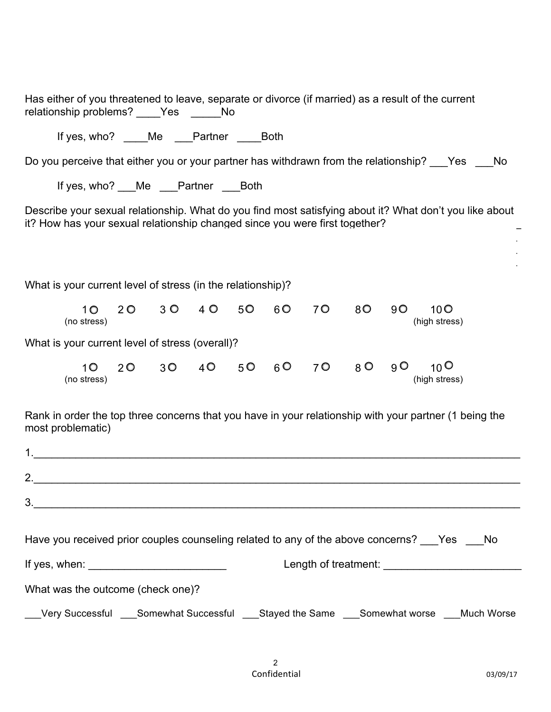| Has either of you threatened to leave, separate or divorce (if married) as a result of the current<br>relationship problems? ____Yes _____No                                           |  |  |  |  |
|----------------------------------------------------------------------------------------------------------------------------------------------------------------------------------------|--|--|--|--|
| If yes, who? ____Me ___Partner ____Both                                                                                                                                                |  |  |  |  |
| Do you perceive that either you or your partner has withdrawn from the relationship? ___Yes ___No                                                                                      |  |  |  |  |
| If yes, who? ___Me ___Partner ___Both                                                                                                                                                  |  |  |  |  |
| Describe your sexual relationship. What do you find most satisfying about it? What don't you like about<br>it? How has your sexual relationship changed since you were first together? |  |  |  |  |
| What is your current level of stress (in the relationship)?                                                                                                                            |  |  |  |  |
| 10 20 30 40 50 60 70 80 90 100<br>(no stress)<br>(high stress)                                                                                                                         |  |  |  |  |
| What is your current level of stress (overall)?                                                                                                                                        |  |  |  |  |
| 20 30 40 50 60 70 80 90 100<br>1O  <br>(no stress)<br>(high stress)                                                                                                                    |  |  |  |  |
| Rank in order the top three concerns that you have in your relationship with your partner (1 being the<br>most problematic)                                                            |  |  |  |  |
|                                                                                                                                                                                        |  |  |  |  |
|                                                                                                                                                                                        |  |  |  |  |
|                                                                                                                                                                                        |  |  |  |  |
| Have you received prior couples counseling related to any of the above concerns? ___Yes ___No                                                                                          |  |  |  |  |
|                                                                                                                                                                                        |  |  |  |  |
| What was the outcome (check one)?                                                                                                                                                      |  |  |  |  |
| __Very Successful ___Somewhat Successful ___Stayed the Same ___Somewhat worse ___Much Worse                                                                                            |  |  |  |  |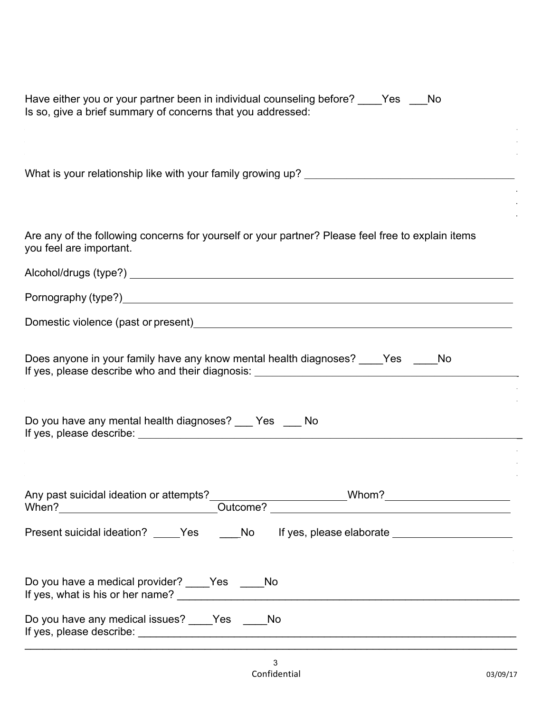| Have either you or your partner been in individual counseling before? Pas Postcall<br>Is so, give a brief summary of concerns that you addressed: |
|---------------------------------------------------------------------------------------------------------------------------------------------------|
| What is your relationship like with your family growing up? _____________________                                                                 |
| Are any of the following concerns for yourself or your partner? Please feel free to explain items<br>you feel are important.                      |
|                                                                                                                                                   |
|                                                                                                                                                   |
| Domestic violence (past or present)<br><u>Domestic violence</u> (past or present)                                                                 |
| Does anyone in your family have any know mental health diagnoses? Yes No<br>If yes, please describe who and their diagnosis:                      |
| Do you have any mental health diagnoses? __ Yes __ No                                                                                             |
|                                                                                                                                                   |
|                                                                                                                                                   |
| Present suicidal ideation? _____Yes ______No lf yes, please elaborate ______________________________                                              |
| Do you have a medical provider? ____Yes ____No                                                                                                    |
| Do you have any medical issues? ____Yes ____No                                                                                                    |